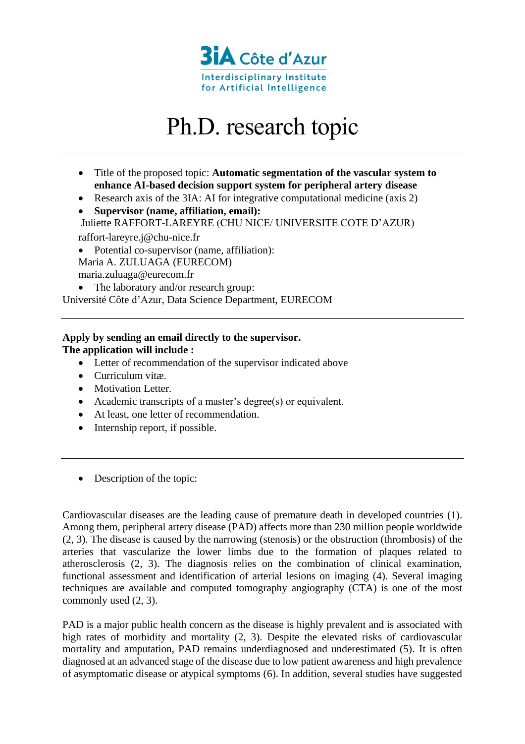

## Ph.D. research topic

- Title of the proposed topic: **Automatic segmentation of the vascular system to enhance AI-based decision support system for peripheral artery disease**
- Research axis of the 3IA: AI for integrative computational medicine (axis 2)
- **Supervisor (name, affiliation, email):** Juliette RAFFORT-LAREYRE (CHU NICE/ UNIVERSITE COTE D'AZUR)

raffort-lareyre.j@chu-nice.fr

• Potential co-supervisor (name, affiliation): Maria A. ZULUAGA (EURECOM) maria.zuluaga@eurecom.fr

• The laboratory and/or research group: Université Côte d'Azur, Data Science Department, EURECOM

## **Apply by sending an email directly to the supervisor. The application will include :**

- Letter of recommendation of the supervisor indicated above
- Curriculum vitæ.
- Motivation Letter.
- Academic transcripts of a master's degree(s) or equivalent.
- At least, one letter of recommendation.
- Internship report, if possible.
- Description of the topic:

Cardiovascular diseases are the leading cause of premature death in developed countries (1). Among them, peripheral artery disease (PAD) affects more than 230 million people worldwide (2, 3). The disease is caused by the narrowing (stenosis) or the obstruction (thrombosis) of the arteries that vascularize the lower limbs due to the formation of plaques related to atherosclerosis (2, 3). The diagnosis relies on the combination of clinical examination, functional assessment and identification of arterial lesions on imaging (4). Several imaging techniques are available and computed tomography angiography (CTA) is one of the most commonly used (2, 3).

PAD is a major public health concern as the disease is highly prevalent and is associated with high rates of morbidity and mortality  $(2, 3)$ . Despite the elevated risks of cardiovascular mortality and amputation, PAD remains underdiagnosed and underestimated (5). It is often diagnosed at an advanced stage of the disease due to low patient awareness and high prevalence of asymptomatic disease or atypical symptoms (6). In addition, several studies have suggested